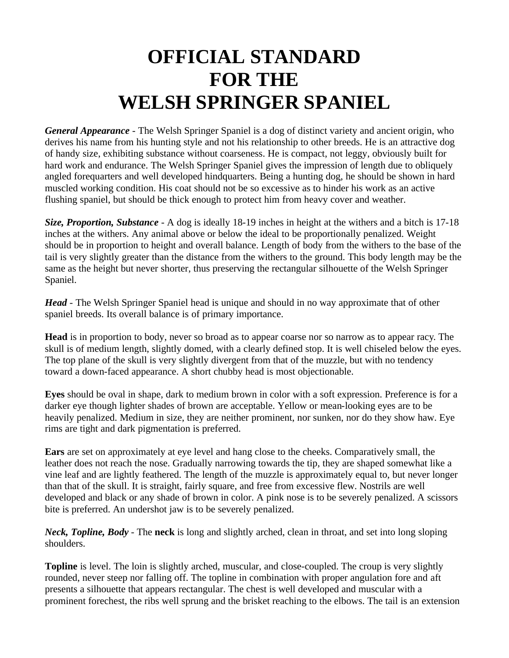## **OFFICIAL STANDARD FOR THE WELSH SPRINGER SPANIEL**

*General Appearance* - The Welsh Springer Spaniel is a dog of distinct variety and ancient origin, who derives his name from his hunting style and not his relationship to other breeds. He is an attractive dog of handy size, exhibiting substance without coarseness. He is compact, not leggy, obviously built for hard work and endurance. The Welsh Springer Spaniel gives the impression of length due to obliquely angled forequarters and well developed hindquarters. Being a hunting dog, he should be shown in hard muscled working condition. His coat should not be so excessive as to hinder his work as an active flushing spaniel, but should be thick enough to protect him from heavy cover and weather.

*Size, Proportion, Substance* - A dog is ideally 18-19 inches in height at the withers and a bitch is 17-18 inches at the withers. Any animal above or below the ideal to be proportionally penalized. Weight should be in proportion to height and overall balance. Length of body from the withers to the base of the tail is very slightly greater than the distance from the withers to the ground. This body length may be the same as the height but never shorter, thus preserving the rectangular silhouette of the Welsh Springer Spaniel.

*Head* - The Welsh Springer Spaniel head is unique and should in no way approximate that of other spaniel breeds. Its overall balance is of primary importance.

**Head** is in proportion to body, never so broad as to appear coarse nor so narrow as to appear racy. The skull is of medium length, slightly domed, with a clearly defined stop. It is well chiseled below the eyes. The top plane of the skull is very slightly divergent from that of the muzzle, but with no tendency toward a down-faced appearance. A short chubby head is most objectionable.

**Eyes** should be oval in shape, dark to medium brown in color with a soft expression. Preference is for a darker eye though lighter shades of brown are acceptable. Yellow or mean-looking eyes are to be heavily penalized. Medium in size, they are neither prominent, nor sunken, nor do they show haw. Eye rims are tight and dark pigmentation is preferred.

**Ears** are set on approximately at eye level and hang close to the cheeks. Comparatively small, the leather does not reach the nose. Gradually narrowing towards the tip, they are shaped somewhat like a vine leaf and are lightly feathered. The length of the muzzle is approximately equal to, but never longer than that of the skull. It is straight, fairly square, and free from excessive flew. Nostrils are well developed and black or any shade of brown in color. A pink nose is to be severely penalized. A scissors bite is preferred. An undershot jaw is to be severely penalized.

*Neck, Topline, Body* - The **neck** is long and slightly arched, clean in throat, and set into long sloping shoulders.

**Topline** is level. The loin is slightly arched, muscular, and close-coupled. The croup is very slightly rounded, never steep nor falling off. The topline in combination with proper angulation fore and aft presents a silhouette that appears rectangular. The chest is well developed and muscular with a prominent forechest, the ribs well sprung and the brisket reaching to the elbows. The tail is an extension